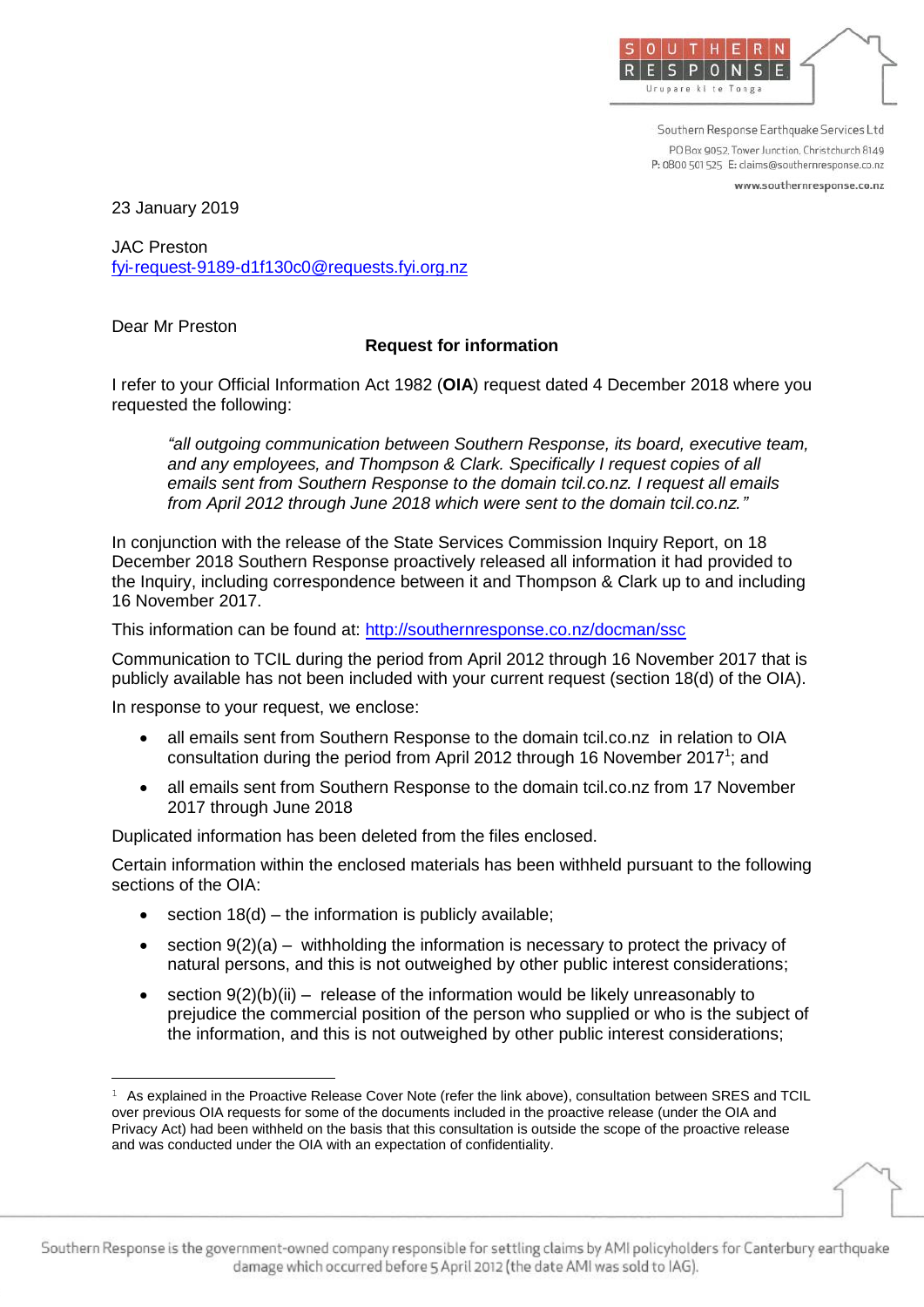

Southern Response Earthquake Services Ltd PO Box 9052 Tower Junction Christchurch 8149 P: 0800 501 525 E: claims@southernresponse.co.nz

www.southernresponse.co.nz

23 January 2019

JAC Preston fyi‐request‐9189‐d1f130c0@requests.fyi.org.nz

Dear Mr Preston

<u>.</u>

## **Request for information**

I refer to your Official Information Act 1982 (**OIA**) request dated 4 December 2018 where you requested the following:

*"all outgoing communication between Southern Response, its board, executive team, and any employees, and Thompson & Clark. Specifically I request copies of all emails sent from Southern Response to the domain tcil.co.nz. I request all emails from April 2012 through June 2018 which were sent to the domain tcil.co.nz."*

In conjunction with the release of the State Services Commission Inquiry Report, on 18 December 2018 Southern Response proactively released all information it had provided to the Inquiry, including correspondence between it and Thompson & Clark up to and including 16 November 2017.

This information can be found at:<http://southernresponse.co.nz/docman/ssc>

Communication to TCIL during the period from April 2012 through 16 November 2017 that is publicly available has not been included with your current request (section 18(d) of the OIA).

In response to your request, we enclose:

- all emails sent from Southern Response to the domain tcil.co.nz in relation to OIA consultation during the period from April 2012 through 16 November 2017<sup>1</sup>; and
- all emails sent from Southern Response to the domain tcil.co.nz from 17 November 2017 through June 2018

Duplicated information has been deleted from the files enclosed.

Certain information within the enclosed materials has been withheld pursuant to the following sections of the OIA:

- $\bullet$  section 18(d) the information is publicly available;
- section 9(2)(a) withholding the information is necessary to protect the privacy of natural persons, and this is not outweighed by other public interest considerations;
- section  $9(2)(b)(ii)$  release of the information would be likely unreasonably to prejudice the commercial position of the person who supplied or who is the subject of the information, and this is not outweighed by other public interest considerations;

 $1$  As explained in the Proactive Release Cover Note (refer the link above), consultation between SRES and TCIL over previous OIA requests for some of the documents included in the proactive release (under the OIA and Privacy Act) had been withheld on the basis that this consultation is outside the scope of the proactive release and was conducted under the OIA with an expectation of confidentiality.